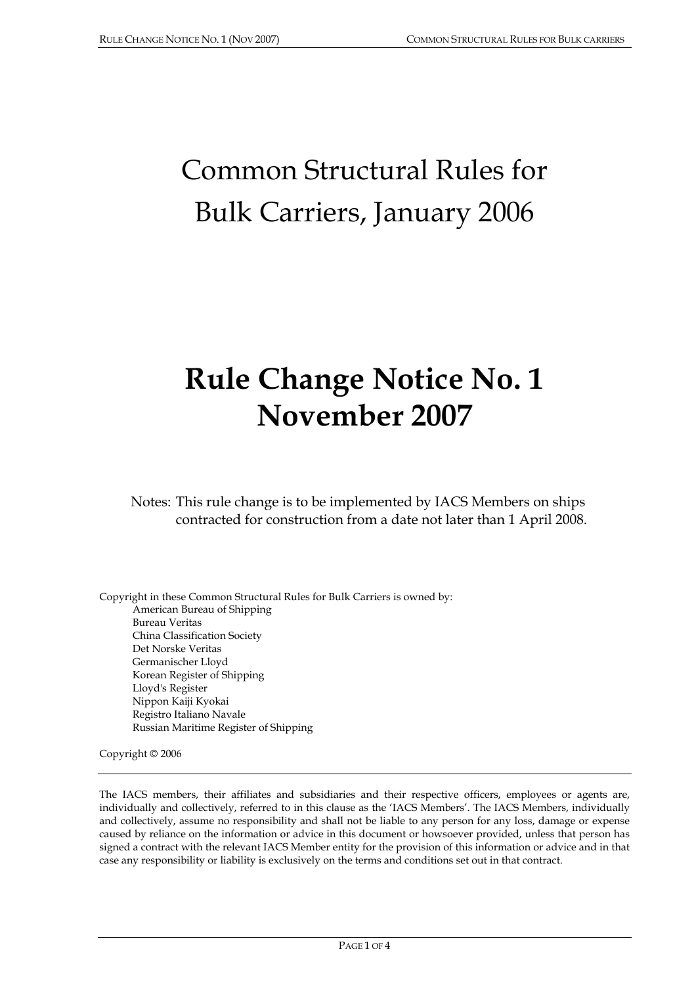## Common Structural Rules for Bulk Carriers, January 2006

## **Rule Change Notice No. 1 November 2007**

Notes: This rule change is to be implemented by IACS Members on ships contracted for construction from a date not later than 1 April 2008.

Copyright in these Common Structural Rules for Bulk Carriers is owned by: American Bureau of Shipping Bureau Veritas China Classification Society Det Norske Veritas Germanischer Lloyd Korean Register of Shipping Lloyd's Register Nippon Kaiji Kyokai Registro Italiano Navale Russian Maritime Register of Shipping

Copyright © 2006

The IACS members, their affiliates and subsidiaries and their respective officers, employees or agents are, individually and collectively, referred to in this clause as the 'IACS Members'. The IACS Members, individually and collectively, assume no responsibility and shall not be liable to any person for any loss, damage or expense caused by reliance on the information or advice in this document or howsoever provided, unless that person has signed a contract with the relevant IACS Member entity for the provision of this information or advice and in that case any responsibility or liability is exclusively on the terms and conditions set out in that contract.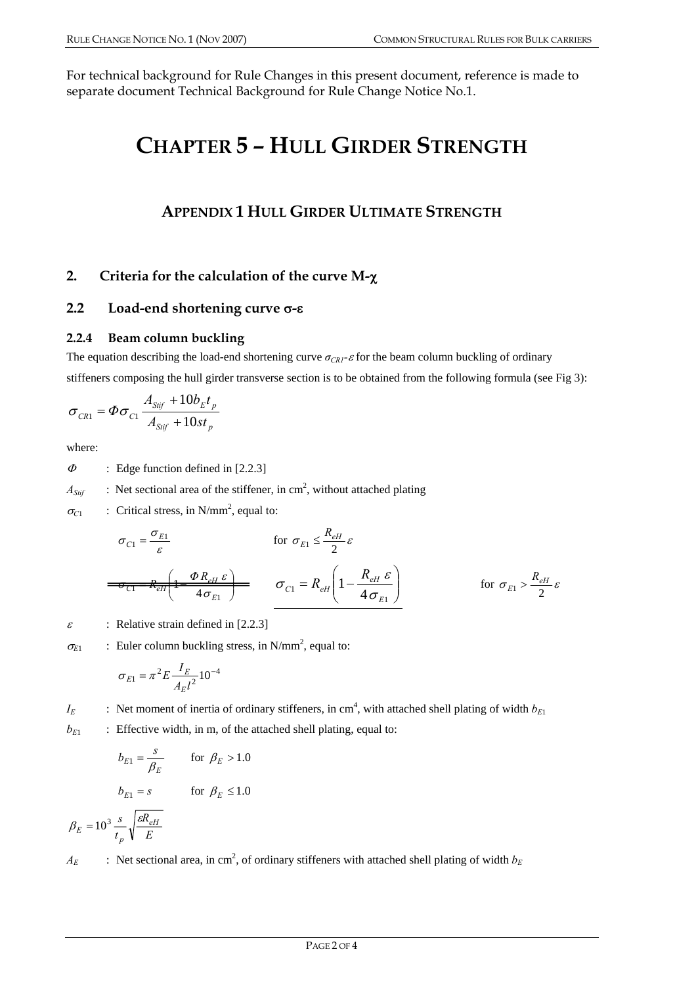For technical background for Rule Changes in this present document, reference is made to separate document Technical Background for Rule Change Notice No.1.

## **CHAPTER 5 – HULL GIRDER STRENGTH**

## **APPENDIX 1 HULL GIRDER ULTIMATE STRENGTH**

## **2. Criteria for the calculation of the curve M-**χ

## **2.2 Load-end shortening curve** σ**-**ε

## **2.2.4 Beam column buckling**

The equation describing the load-end shortening curve  $\sigma_{CR1}$ -ε for the beam column buckling of ordinary stiffeners composing the hull girder transverse section is to be obtained from the following formula (see Fig 3):

$$
\sigma_{CR1} = \Phi \sigma_{C1} \frac{A_{Sif} + 10b_E t_p}{A_{Sif} + 10st_p}
$$

where:

 $\Phi$  : Edge function defined in [2.2.3]

 $A_{Stif}$  : Net sectional area of the stiffener, in cm<sup>2</sup>, without attached plating

 $\sigma_{C1}$  : Critical stress, in N/mm<sup>2</sup>, equal to:

$$
\sigma_{C1} = \frac{\sigma_{E1}}{\varepsilon} \qquad \text{for } \sigma_{E1} \le \frac{R_{eH}}{2} \varepsilon
$$
\n
$$
\sigma_{C1} = R_{eH} \left( 1 - \frac{R_{eH} \varepsilon}{4 \sigma_{E1}} \right) \qquad \sigma_{C1} = R_{eH} \left( 1 - \frac{R_{eH} \varepsilon}{4 \sigma_{E1}} \right) \qquad \text{for } \sigma_{E1} > \frac{R_{eH}}{2} \varepsilon
$$

 $\varepsilon$  : Relative strain defined in [2.2.3]

$$
\sigma_{E1} \qquad \text{: Euler column buckling stress, in N/mm2, equal to:}
$$

$$
\sigma_{E1} = \pi^2 E \frac{I_E}{A_E l^2} 10^{-4}
$$

*I<sub>E</sub>* : Net moment of inertia of ordinary stiffeners, in cm<sup>4</sup>, with attached shell plating of width  $b_{E1}$ 

 $b_{E1}$  : Effective width, in m, of the attached shell plating, equal to:

$$
b_{E1} = \frac{s}{\beta_E} \qquad \text{for } \beta_E > 1.0
$$

$$
b_{E1} = s \qquad \text{for } \beta_E \le 1.0
$$

$$
\beta_E = 10^3 \frac{s}{t_p} \sqrt{\frac{\varepsilon R_{eH}}{E}}
$$

*E*

*t*

 $A_E$  : Net sectional area, in cm<sup>2</sup>, of ordinary stiffeners with attached shell plating of width  $b_E$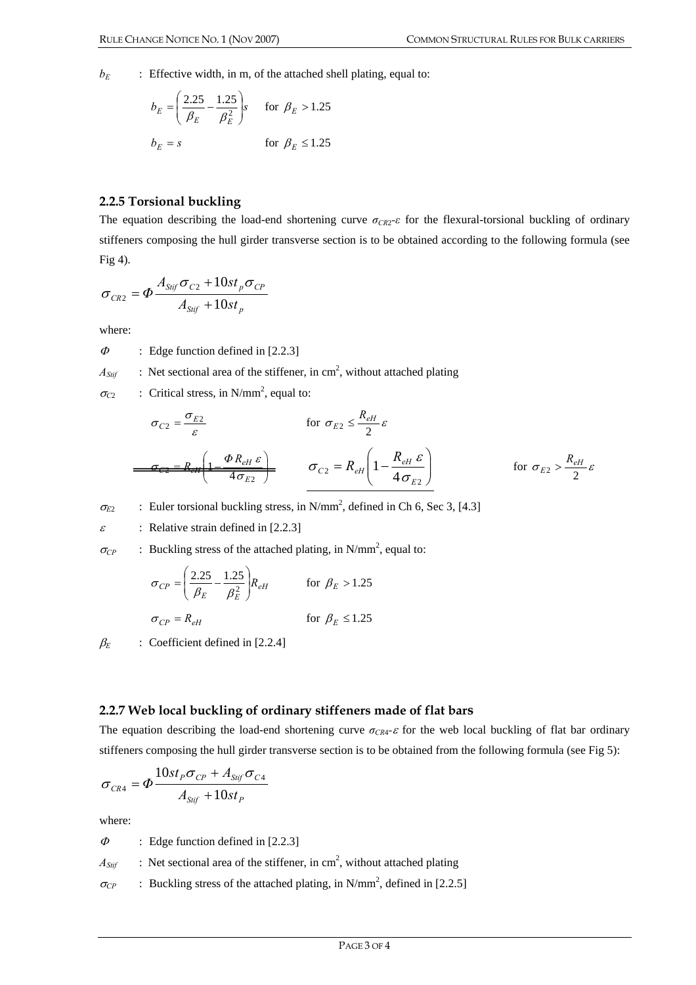$b_E$  : Effective width, in m, of the attached shell plating, equal to:

$$
b_E = \left(\frac{2.25}{\beta_E} - \frac{1.25}{\beta_E^2}\right)s \quad \text{for } \beta_E > 1.25
$$
  

$$
b_E = s \quad \text{for } \beta_E \le 1.25
$$

### **2.2.5 Torsional buckling**

The equation describing the load-end shortening curve *σCR*2*-ε* for the flexural-torsional buckling of ordinary stiffeners composing the hull girder transverse section is to be obtained according to the following formula (see Fig 4).

$$
\sigma_{CR2} = \Phi \frac{A_{\text{Sijf}} \sigma_{C2} + 10st_p \sigma_{CP}}{A_{\text{Sijf}} + 10st_p}
$$

where:

 $\Phi$  : Edge function defined in [2.2.3]

 $A_{Stif}$  : Net sectional area of the stiffener, in cm<sup>2</sup>, without attached plating

 $\sigma_{C2}$  : Critical stress, in N/mm<sup>2</sup>, equal to:

$$
\sigma_{C2} = \frac{\sigma_{E2}}{\varepsilon} \qquad \text{for } \sigma_{E2} \le \frac{R_{eH}}{2} \varepsilon
$$
\n
$$
\frac{\sigma_{E2} = R_{eH} \left(1 - \frac{\Phi R_{eH} \varepsilon}{4 \sigma_{E2}}\right)}{\sigma_{C2} = R_{eH} \left(1 - \frac{R_{eH} \varepsilon}{4 \sigma_{E2}}\right)} \qquad \text{for } \sigma_{E2} > \frac{R_{eH}}{2} \varepsilon
$$

 $\sigma_{E2}$  : Euler torsional buckling stress, in N/mm<sup>2</sup>, defined in Ch 6, Sec 3, [4.3]

 $\varepsilon$  : Relative strain defined in [2.2.3]

 $\sigma_{\rm CP}$  : Buckling stress of the attached plating, in N/mm<sup>2</sup>, equal to:

$$
\sigma_{CP} = \left(\frac{2.25}{\beta_E} - \frac{1.25}{\beta_E^2}\right) R_{eH} \qquad \text{for } \beta_E > 1.25
$$
\n
$$
\sigma_{CP} = R_{eH} \qquad \text{for } \beta_E \le 1.25
$$

 $\beta_F$  : Coefficient defined in [2.2.4]

#### **2.2.7 Web local buckling of ordinary stiffeners made of flat bars**

The equation describing the load-end shortening curve  $\sigma_{CR4}$ -ε for the web local buckling of flat bar ordinary stiffeners composing the hull girder transverse section is to be obtained from the following formula (see Fig 5):

$$
\sigma_{CR4} = \Phi \frac{10st_p \sigma_{CP} + A_{Sitf} \sigma_{C4}}{A_{Sitf} + 10st_p}
$$

where:

 $\Phi$  : Edge function defined in [2.2.3]

 $A_{Stif}$  : Net sectional area of the stiffener, in cm<sup>2</sup>, without attached plating

 $\sigma_{CP}$  : Buckling stress of the attached plating, in N/mm<sup>2</sup>, defined in [2.2.5]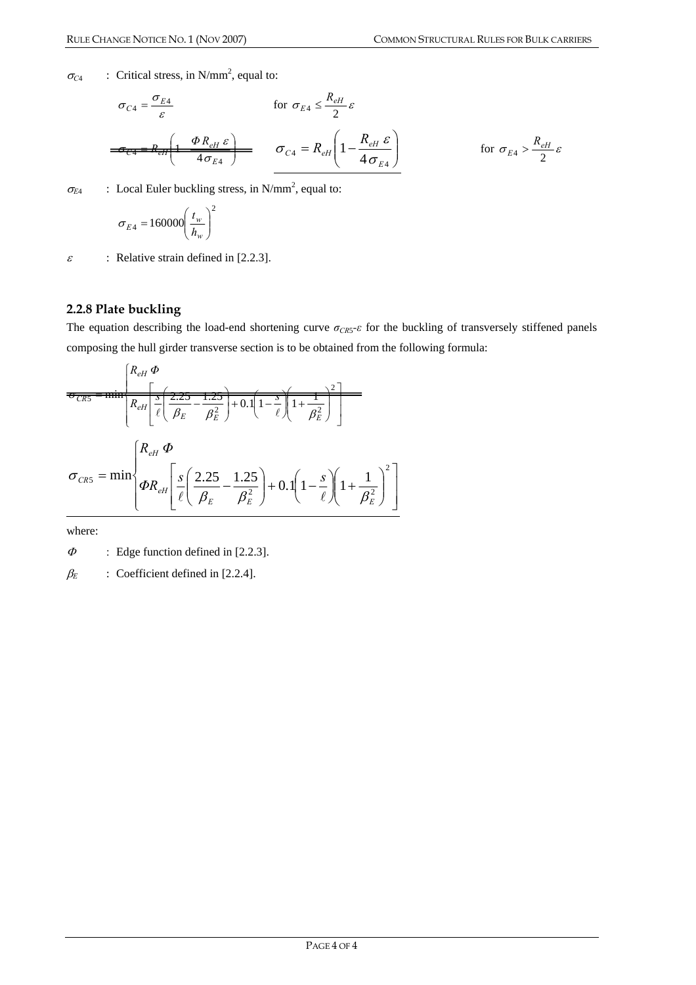$\sigma_{C4}$  : Critical stress, in N/mm<sup>2</sup>, equal to:

$$
\sigma_{C4} = \frac{\sigma_{E4}}{\varepsilon} \qquad \text{for } \sigma_{E4} \le \frac{R_{eH}}{2} \varepsilon
$$
\n
$$
\frac{\sigma_{C4} = R_{eH} \left(1 - \frac{\Phi R_{eH} \varepsilon}{4 \sigma_{E4}}\right)}{\sigma_{C4} = R_{eH} \left(1 - \frac{R_{eH} \varepsilon}{4 \sigma_{E4}}\right)} \qquad \text{for } \sigma_{E4} > \frac{R_{eH}}{2} \varepsilon
$$

 $\sigma_{E4}$  : Local Euler buckling stress, in N/mm<sup>2</sup>, equal to:

$$
\sigma_{E4} = 160000 \left(\frac{t_w}{h_w}\right)^2
$$

 $\varepsilon$  : Relative strain defined in [2.2.3].

#### **2.2.8 Plate buckling**

The equation describing the load-end shortening curve  $\sigma_{CR5}$ - $\varepsilon$  for the buckling of transversely stiffened panels composing the hull girder transverse section is to be obtained from the following formula:

$$
\overline{\sigma_{CR5}} = \min \left[ \frac{R_{eH} \Phi}{R_{eH} \left[ \frac{5}{\ell} \left( \frac{2.25}{\beta_E} - \frac{1.25}{\beta_E^2} \right) + 0.1 \left( 1 - \frac{5}{\ell} \right) \left( 1 + \frac{1}{\beta_E^2} \right) \right] \right]
$$
  

$$
\sigma_{CR5} = \min \left\{ \frac{R_{eH} \Phi}{\Phi R_{eH} \left[ \frac{s}{\ell} \left( \frac{2.25}{\beta_E} - \frac{1.25}{\beta_E^2} \right) + 0.1 \left( 1 - \frac{s}{\ell} \right) \left( 1 + \frac{1}{\beta_E^2} \right)^2 \right] \right\}
$$

where:

 $\Phi$  : Edge function defined in [2.2.3].

 $\beta_E$  : Coefficient defined in [2.2.4].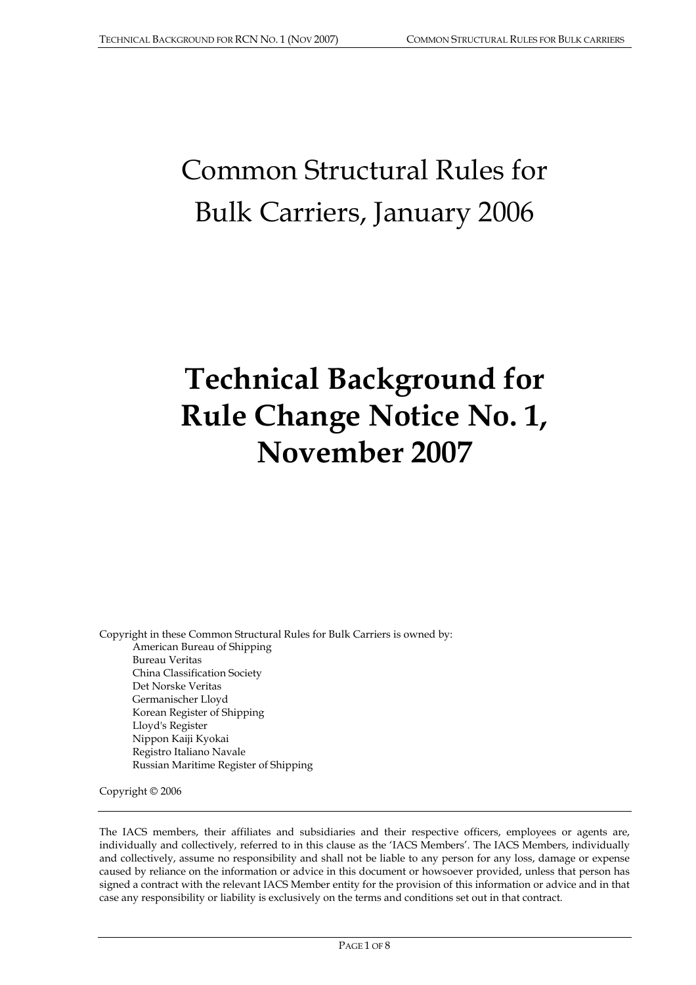# Common Structural Rules for Bulk Carriers, January 2006

## **Technical Background for Rule Change Notice No. 1, November 2007**

Copyright in these Common Structural Rules for Bulk Carriers is owned by: American Bureau of Shipping Bureau Veritas China Classification Society Det Norske Veritas Germanischer Lloyd Korean Register of Shipping Lloyd's Register Nippon Kaiji Kyokai Registro Italiano Navale Russian Maritime Register of Shipping

Copyright © 2006

The IACS members, their affiliates and subsidiaries and their respective officers, employees or agents are, individually and collectively, referred to in this clause as the 'IACS Members'. The IACS Members, individually and collectively, assume no responsibility and shall not be liable to any person for any loss, damage or expense caused by reliance on the information or advice in this document or howsoever provided, unless that person has signed a contract with the relevant IACS Member entity for the provision of this information or advice and in that case any responsibility or liability is exclusively on the terms and conditions set out in that contract.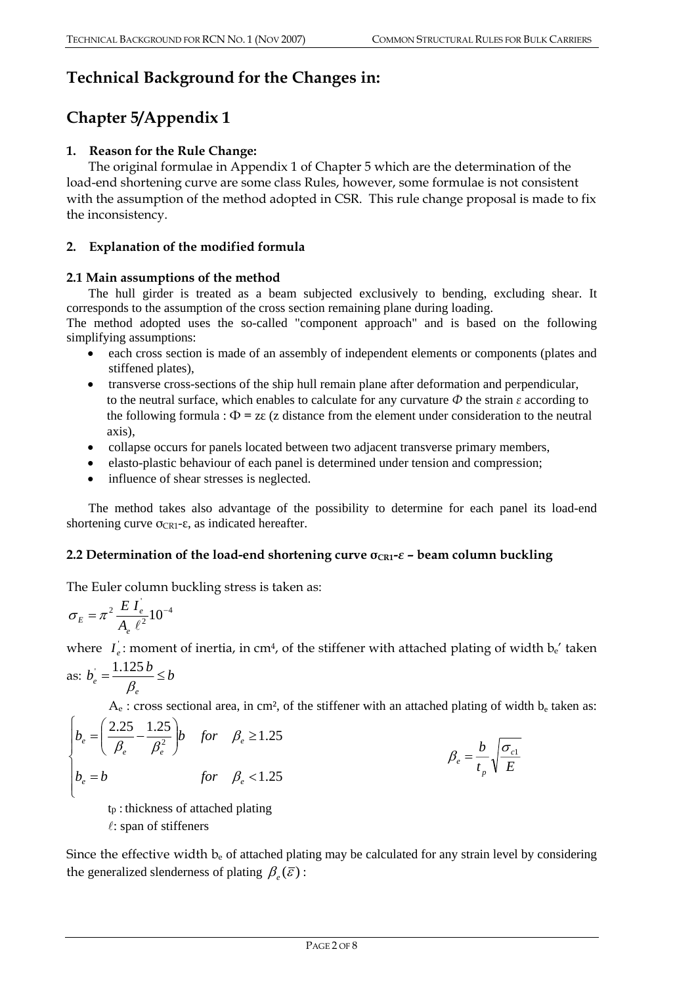## **Technical Background for the Changes in:**

## **Chapter 5/Appendix 1**

## **1. Reason for the Rule Change:**

The original formulae in Appendix 1 of Chapter 5 which are the determination of the load-end shortening curve are some class Rules, however, some formulae is not consistent with the assumption of the method adopted in CSR. This rule change proposal is made to fix the inconsistency.

## **2. Explanation of the modified formula**

## **2.1 Main assumptions of the method**

The hull girder is treated as a beam subjected exclusively to bending, excluding shear. It corresponds to the assumption of the cross section remaining plane during loading.

The method adopted uses the so-called "component approach" and is based on the following simplifying assumptions:

- each cross section is made of an assembly of independent elements or components (plates and stiffened plates),
- transverse cross-sections of the ship hull remain plane after deformation and perpendicular, to the neutral surface, which enables to calculate for any curvature *Ф* the strain *ε* according to the following formula :  $\Phi = z \epsilon$  (z distance from the element under consideration to the neutral axis),
- collapse occurs for panels located between two adjacent transverse primary members,
- elasto-plastic behaviour of each panel is determined under tension and compression;
- influence of shear stresses is neglected.

The method takes also advantage of the possibility to determine for each panel its load-end shortening curve  $\sigma_{CR1}$ -ε, as indicated hereafter.

### **2.2 Determination of the load-end shortening curve σCR1-***ε* **– beam column buckling**

The Euler column buckling stress is taken as:

$$
\sigma_E = \pi^2 \frac{E I_e}{A_e \ell^2} 10^{-4}
$$

where  $I_e$ : moment of inertia, in cm<sup>4</sup>, of the stiffener with attached plating of width  $b_e$ ' taken

as: 
$$
b_e = \frac{1.125 b}{\beta_e} \le b
$$

 $A_e$ : cross sectional area, in cm<sup>2</sup>, of the stiffener with an attached plating of width  $b_e$  taken as:

$$
\begin{cases}\nb_e = \left(\frac{2.25}{\beta_e} - \frac{1.25}{\beta_e^2}\right)b & \text{for} \quad \beta_e \ge 1.25 \\
b_e = b & \text{for} \quad \beta_e < 1.25\n\end{cases}\n\qquad\n\beta_e = \frac{b}{t_p} \sqrt{\frac{\sigma_c}{E}}
$$

$$
\beta_e = \frac{b}{t_p} \sqrt{\frac{\sigma_{c1}}{E}}
$$

tp : thickness of attached plating

 $l$ : span of stiffeners

Since the effective width  $b_e$  of attached plating may be calculated for any strain level by considering the generalized slenderness of plating  $\beta_e(\bar{\varepsilon})$  :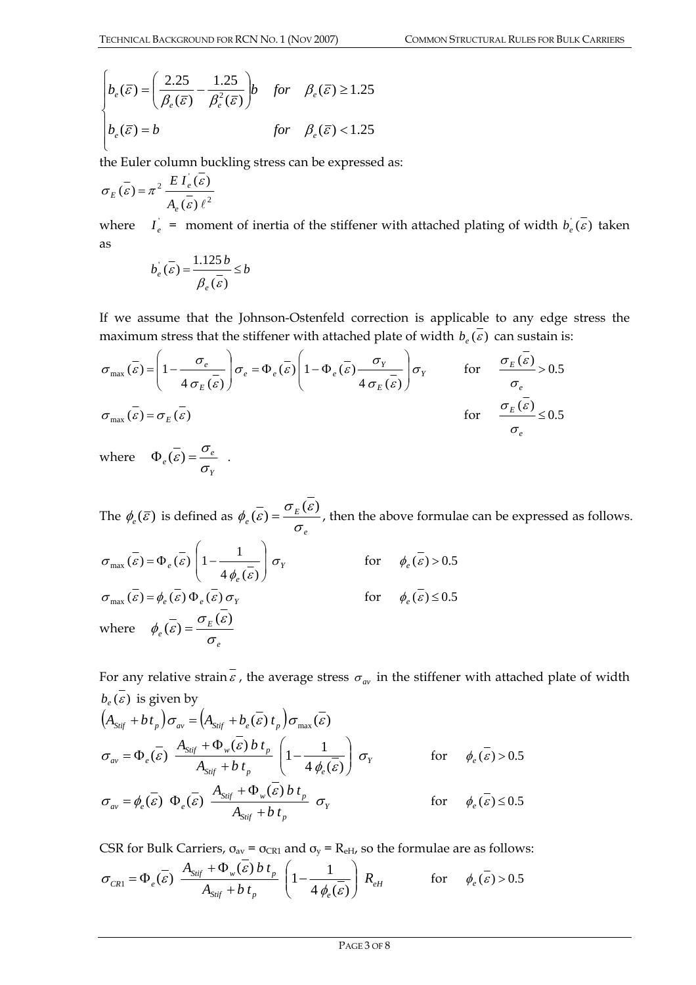$$
\begin{cases}\nb_e(\overline{\varepsilon}) = \left(\frac{2.25}{\beta_e(\overline{\varepsilon})} - \frac{1.25}{\beta_e^2(\overline{\varepsilon})}\right)b & \text{for} \quad \beta_e(\overline{\varepsilon}) \ge 1.25 \\
b_e(\overline{\varepsilon}) = b & \text{for} \quad \beta_e(\overline{\varepsilon}) < 1.25\n\end{cases}
$$

the Euler column buckling stress can be expressed as:

$$
\sigma_E(\vec{\varepsilon}) = \pi^2 \frac{E I_e(\vec{\varepsilon})}{A_e(\vec{\varepsilon}) \ell^2}
$$

where  $I_e =$  moment of inertia of the stiffener with attached plating of width  $b_e(\varepsilon)$  taken as

$$
b_e(\overline{\varepsilon}) = \frac{1.125 b}{\overline{\beta_e(\varepsilon)}} \le b
$$

If we assume that the Johnson-Ostenfeld correction is applicable to any edge stress the maximum stress that the stiffener with attached plate of width  $b_e(\vec{\epsilon})$  can sustain is:

$$
\sigma_{\max}(\overline{\varepsilon}) = \left(1 - \frac{\sigma_e}{4\sigma_E(\overline{\varepsilon})}\right)\sigma_e = \Phi_e(\overline{\varepsilon}) \left(1 - \Phi_e(\overline{\varepsilon}) \frac{\sigma_Y}{4\sigma_E(\overline{\varepsilon})}\right)\sigma_Y \qquad \text{for} \qquad \frac{\sigma_E(\overline{\varepsilon})}{\sigma_e} > 0.5
$$
  

$$
\sigma_{\max}(\overline{\varepsilon}) = \sigma_E(\overline{\varepsilon}) \qquad \text{for} \qquad \frac{\sigma_E(\overline{\varepsilon})}{\sigma_e} \le 0.5
$$

where *Y*  $\Phi_e(\overline{\varepsilon}) = \frac{\sigma_e}{\sigma_v}$ .

The  $\phi_e(\bar{\varepsilon})$  is defined as *e E*  $\phi_e(\vec{\varepsilon}) = \frac{\sigma_E(\varepsilon)}{\sigma}$ , then the above formulae can be expressed as follows.

$$
\sigma_{\max}(\vec{\varepsilon}) = \Phi_e(\vec{\varepsilon}) \left( 1 - \frac{1}{4 \phi_e(\vec{\varepsilon})} \right) \sigma_Y \qquad \text{for} \quad \phi_e(\vec{\varepsilon}) > 0.5
$$
\n
$$
\sigma_{\max}(\vec{\varepsilon}) = \phi_e(\vec{\varepsilon}) \Phi_e(\vec{\varepsilon}) \sigma_Y \qquad \text{for} \quad \phi_e(\vec{\varepsilon}) \le 0.5
$$
\n
$$
\text{where} \quad \phi_e(\vec{\varepsilon}) = \frac{\sigma_E(\vec{\varepsilon})}{\sigma_e}
$$

For any relative strain  $\overline{\epsilon}$ , the average stress  $\sigma_{av}$  in the stiffener with attached plate of width  $b_e(\overline{\varepsilon})$  is given by

$$
\left(A_{Sijf} + bt_p\right)\sigma_{av} = \left(A_{Sijf} + b_e(\overline{\varepsilon})t_p\right)\sigma_{max}(\overline{\varepsilon})
$$
\n
$$
\sigma_{av} = \Phi_e(\overline{\varepsilon}) \frac{A_{Sijf} + \Phi_w(\overline{\varepsilon}) b t_p}{A_{Sijf} + b t_p} \left(1 - \frac{1}{4 \phi_e(\overline{\varepsilon})}\right) \sigma_Y \qquad \text{for} \quad \phi_e(\overline{\varepsilon}) > 0.5
$$
\n
$$
\sigma_{av} = \phi_e(\overline{\varepsilon}) \Phi_e(\overline{\varepsilon}) \frac{A_{Sijf} + \Phi_w(\overline{\varepsilon}) b t_p}{A_{Sijf} + b t_p} \sigma_Y \qquad \text{for} \quad \phi_e(\overline{\varepsilon}) \le 0.5
$$

CSR for Bulk Carriers,  $\sigma_{av} = \sigma_{CR1}$  and  $\sigma_y = R_{eH}$ , so the formulae are as follows:

$$
\sigma_{CR1} = \Phi_e(\overline{\varepsilon}) \frac{A_{Sif} + \Phi_w(\varepsilon) b t_p}{A_{Sif} + b t_p} \left(1 - \frac{1}{4 \phi_e(\overline{\varepsilon})}\right) R_{eH} \qquad \text{for} \qquad \phi_e(\overline{\varepsilon}) > 0.5
$$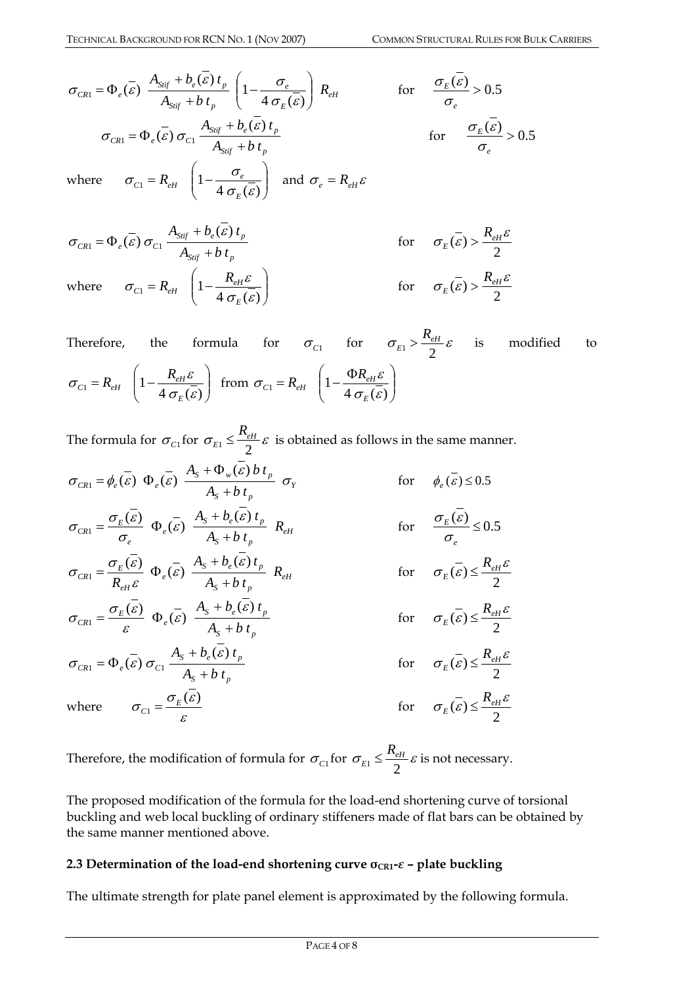$$
\sigma_{CR1} = \Phi_e(\overline{\varepsilon}) \frac{A_{Sijf} + b_e(\overline{\varepsilon}) t_p}{A_{Sijf} + b t_p} \left(1 - \frac{\sigma_e}{4 \sigma_E(\overline{\varepsilon})}\right) R_{eH} \quad \text{for} \quad \frac{\sigma_E(\overline{\varepsilon})}{\sigma_e} > 0.5
$$
\n
$$
\sigma_{CR1} = \Phi_e(\overline{\varepsilon}) \sigma_{C1} \frac{A_{Sijf} + b_e(\overline{\varepsilon}) t_p}{A_{Sijf} + b t_p} \quad \text{for} \quad \frac{\sigma_E(\overline{\varepsilon})}{\sigma_e} > 0.5
$$
\nwhere  $\sigma_{C1} = R_{eH} \left(1 - \frac{\sigma_e}{4 \sigma_E(\overline{\varepsilon})}\right)$  and  $\sigma_e = R_{eH} \varepsilon$ 

$$
\sigma_{CR1} = \Phi_e(\vec{\varepsilon}) \sigma_{C1} \frac{A_{Sijf} + b_e(\vec{\varepsilon}) t_p}{A_{Sijf} + b t_p}
$$
 for  $\sigma_E(\vec{\varepsilon}) > \frac{R_{eH}\varepsilon}{2}$   
where  $\sigma_{C1} = R_{eH} \left(1 - \frac{R_{eH}\varepsilon}{4 \sigma_E(\vec{\varepsilon})}\right)$  for  $\sigma_E(\vec{\varepsilon}) > \frac{R_{eH}\varepsilon}{2}$ 

Therefore, the formula for  $\sigma_{c1}$  for  $\sigma_{E1} > \frac{R_{eH}}{2} \varepsilon$  $>\frac{R_{eH}}{2}\varepsilon$  is modified to  $\sqrt{ }$ ⎠ ⎞  $\overline{\phantom{a}}$  $R_{eH}$   $\left(1 - \frac{R_{eH} \varepsilon}{4 \sigma_E(\bar{\varepsilon})}\right)$  $\sigma_{cr} = R_{cr} \left[ 1 - \frac{R_{eH} \varepsilon}{\varepsilon} \right]$ *E*  $\sigma_{C1} = R_{eH} \left(1 - \frac{R_{eH} \varepsilon}{4 \pi \left(\frac{\varepsilon}{S}\right)}\right)$  from  $\sigma_{C1} = R_{eH} \left(1 - \frac{\Phi R_{eH} \varepsilon}{4 \pi \left(\frac{\varepsilon}{S}\right)}\right)$ ⎠ ⎞  $\overline{\phantom{a}}$  $\Gamma_1 = R_{eH} \left( 1 - \frac{\Phi R_{eH} \varepsilon}{4 \sigma_E(\overline{\varepsilon})} \right)$  $\sigma_{ci} = R_{ci}$   $1 - \frac{\Phi R_{eH} \varepsilon}{\sigma}$ *E*  $E_{C1} = R_{eH}$   $\left(1 - \frac{\Phi R_{eH}}{1 - \Phi G} \right)$ 

The formula for  $\sigma_{c_1}$  for  $\sigma_{E_1} \leq \frac{R_{eH}}{2} \varepsilon$  is obtained as follows in the same manner.

*Y*  $S^{\text{t}}$   $\mu$ <sub>p</sub>  $S^{T} \Psi_{w}(\boldsymbol{c})$ *v*  $\iota_{p}$  $C_{R1} - \psi_e(\varepsilon) \Psi_e(\varepsilon) - A_s + b t$  $A_s + \Phi_w(\varepsilon) b t_p$ <sub>*p*</sub>  $\sigma_{CR1} = \phi_e(\vec{\varepsilon}) \Phi_e(\vec{\varepsilon}) \frac{A_s + \Phi_w(\varepsilon) b t_p}{A_s + b t_n} \sigma_Y$  for  $\phi_e(\vec{\varepsilon}) \le 0.5$ *eH*  $S^{\text{H}}$   $\mu$ <sup>*p*</sup>  $S^{\perp}$   $\theta_e$  (c)  $\theta_p$ *e e*  $E_{CR1} = \frac{\sigma_E(\epsilon)}{\sigma_e} \Phi_e(\epsilon) \frac{H_s + B_e(\epsilon) \cdot P_p}{A_s + b t_n} R_s$  $A_{\rm s} + b_{\rm s}(\varepsilon) t$ +  $A_1 = \frac{\sigma_E(\overline{\varepsilon})}{\sigma_E} \Phi_{\varepsilon}(\overline{\varepsilon}) \frac{A_s + b_{\varepsilon}(\varepsilon)}{A_{\varepsilon} + b_{\varepsilon}(\varepsilon)}$ ε ε σ  $\sigma_{CR1} = \frac{\sigma_E(\varepsilon)}{\sigma_E(\varepsilon)} \Phi_{\rho}(\overline{\varepsilon}) \frac{A_s + b_e(\varepsilon) t_p}{\sigma_E(\varepsilon)} R_{eH}$  for  $\frac{\sigma_E(\varepsilon)}{\sigma_E(\varepsilon)} \leq 0.5$  $\frac{E(G)}{E(G)} \leq$ *e* σ  $\sigma_{\rm r}$  (  $\varepsilon$ *eH*  $S^{\text{t}}$   $\mu$ <sub>p</sub>  $S^{\text{t}}$   $\theta_e$  (*c*)  $\theta_p$ *e eH*  $E_{CR1} = \frac{\sigma_E(\varepsilon)}{R_{\varepsilon\mu}\varepsilon} \Phi_{\varepsilon}(\varepsilon) \frac{R_{S} + \sigma_{\varepsilon}(\varepsilon) r_{p}}{A_{S} + b t_{p}} R$  $A_s + b_e(\varepsilon)t$  $R_{\rho H} \varepsilon \qquad e^{(0)} \qquad A_{\rm s} +$  $A_1 = \frac{\sigma_E(\overline{\varepsilon})}{R} \Phi_{\varepsilon}(\overline{\varepsilon}) \frac{A_s + b_{\varepsilon}(\varepsilon)}{A}$ ε ε ε  $\sigma_{CR1} = \frac{\sigma_E(\varepsilon)}{g} \Phi_{\rho}(\varepsilon) \stackrel{A_s + b_{\rho}(\varepsilon) l_p}{\longrightarrow} R_{\rho H}$  for  $\sigma_E(\bar{\varepsilon}) \leq \frac{R_{eH}\varepsilon}{2}$ *R* ≤  $S^{\text{H}}$   $\theta$   $\mu$ <sub>p</sub>  $S^{\text{H}}$   $\theta_e$  (*c*)  $\theta_p$  $E_{\text{CRI}} = \frac{\sigma_E(\epsilon)}{\epsilon} \Phi_{\text{e}}(\epsilon) \frac{A_S + B_{\text{e}}(\epsilon)}{A_S + b_{\text{f}}}$  $A_{\rm s} + b_{\rm s}(\varepsilon) t$ +  $A_1 = \frac{\sigma_E(\overline{\varepsilon})}{\sigma_E} \Phi_{\varepsilon}(\overline{\varepsilon}) \frac{A_s + b_{\varepsilon}(\varepsilon)}{A}$ ε ε ε  $\sigma_{CR1} = \frac{\sigma_E(\mathcal{E})}{\Phi_e(\mathcal{E})} \Phi_e(\mathcal{E}) \frac{A_s + b_e(\mathcal{E}) l_p}{\Phi_e(\mathcal{E}) l_p}$  for  $\sigma_E(\bar{\varepsilon}) \leq \frac{R_{eH}\varepsilon}{2}$ *R* ≤  $S$ <sup>*p*</sup> *p*  $S^{\text{H}}$   $\theta_e$  (*c*)  $\theta_p$  $c_{R1} - \Psi_e(c) \, o_{C1}$   $A_s + b \, t$  $A_{\rm s} + b_{\rm s}(\varepsilon) t$  $\sigma_{CR1} = \Phi_e(\vec{\varepsilon}) \sigma_{C1} \frac{A_s + b_e(\varepsilon) t_p}{A_s + b t_p}$  for  $\sigma_E(\bar{\varepsilon}) \leq \frac{R_{eH}\varepsilon}{2}$ *R* ≤ where ε  $\sigma_{\text{eq}} = \frac{\sigma_{\text{g}}(\varepsilon)}{2\pi}$  $\epsilon_0 = \frac{G_E(\epsilon)}{I}$  for  $\sigma_E(\bar{\varepsilon}) \leq \frac{R_{eH}\varepsilon}{2}$ *R* ≤

Therefore, the modification of formula for  $\sigma_{c}$  for  $\sigma_{E1} \leq \frac{R_{eH}}{2} \varepsilon$  is not necessary.

The proposed modification of the formula for the load-end shortening curve of torsional buckling and web local buckling of ordinary stiffeners made of flat bars can be obtained by the same manner mentioned above.

## **2.3 Determination of the load-end shortening curve**  $\sigma_{CR1}$ **-** $\varepsilon$  **– plate buckling**

The ultimate strength for plate panel element is approximated by the following formula.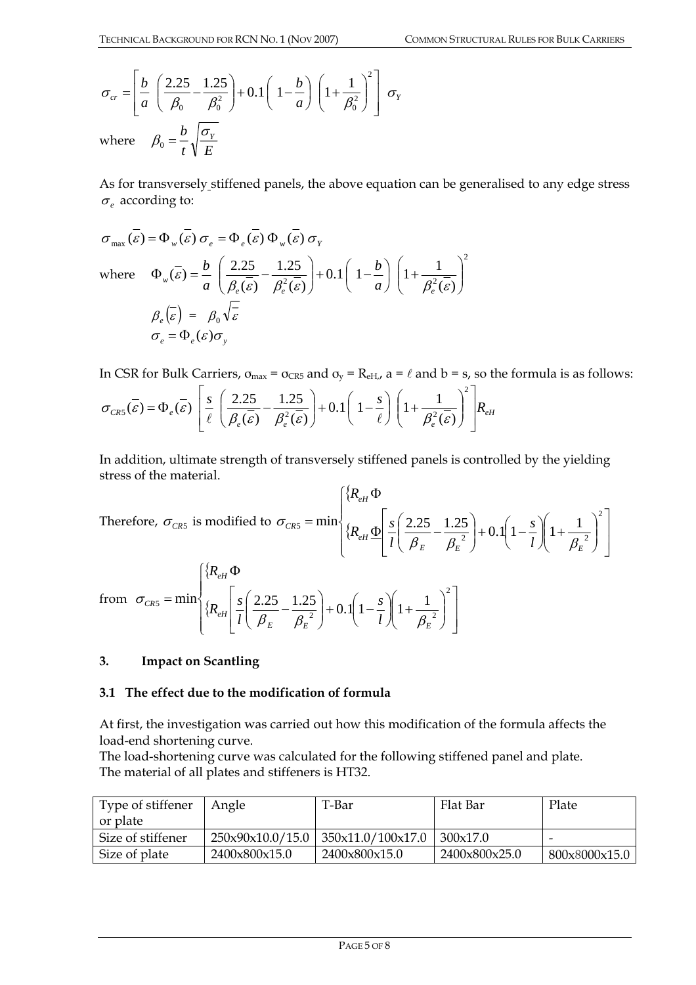$$
\sigma_{cr} = \left[ \frac{b}{a} \left( \frac{2.25}{\beta_0} - \frac{1.25}{\beta_0^2} \right) + 0.1 \left( 1 - \frac{b}{a} \right) \left( 1 + \frac{1}{\beta_0^2} \right)^2 \right] \sigma_Y
$$
  
where  $\beta_0 = \frac{b}{t} \sqrt{\frac{\sigma_Y}{E}}$ 

As for transversely stiffened panels, the above equation can be generalised to any edge stress  $\sigma$ <sub>*e*</sub> according to:

$$
\sigma_{\max}(\overline{\varepsilon}) = \Phi_{w}(\overline{\varepsilon}) \sigma_{e} = \Phi_{e}(\overline{\varepsilon}) \Phi_{w}(\overline{\varepsilon}) \sigma_{Y}
$$
  
where 
$$
\Phi_{w}(\overline{\varepsilon}) = \frac{b}{a} \left( \frac{2.25}{\beta_{e}(\overline{\varepsilon})} - \frac{1.25}{\beta_{e}^{2}(\overline{\varepsilon})} \right) + 0.1 \left( 1 - \frac{b}{a} \right) \left( 1 + \frac{1}{\beta_{e}^{2}(\overline{\varepsilon})} \right)^{2}
$$

$$
\beta_{e}(\overline{\varepsilon}) = \beta_{0} \sqrt{\overline{\varepsilon}}
$$

$$
\sigma_{e} = \Phi_{e}(\varepsilon) \sigma_{y}
$$

In CSR for Bulk Carriers,  $\sigma_{\text{max}} = \sigma_{\text{CR5}}$  and  $\sigma_y = R_{\text{eH},t}$  a =  $\ell$  and b = s, so the formula is as follows:

$$
\sigma_{CR5}(\vec{\varepsilon}) = \Phi_e(\vec{\varepsilon}) \left[ \frac{s}{\ell} \left( \frac{2.25}{\beta_e(\vec{\varepsilon})} - \frac{1.25}{\beta_e^2(\vec{\varepsilon})} \right) + 0.1 \left( 1 - \frac{s}{\ell} \right) \left( 1 + \frac{1}{\beta_e^2(\vec{\varepsilon})} \right)^2 \right] R_{\text{eff}}
$$

In addition, ultimate strength of transversely stiffened panels is controlled by the yielding stress of the material.

Therefore, 
$$
\sigma_{CR5}
$$
 is modified to  $\sigma_{CR5} = \min \left\{ \frac{\left\{ R_{eH} \Phi}{\left\{ R_{eH} \Phi \left[ \frac{s}{l} \left( \frac{2.25}{\beta_E} - \frac{1.25}{\beta_E^2} \right) + 0.1 \left( 1 - \frac{s}{l} \right) \left( 1 + \frac{1}{\beta_E^2} \right)^2 \right] \right\} \right\}$   
from  $\sigma_{CR5} = \min \left\{ \frac{\left\{ R_{eH} \Phi}{\left\{ R_{eH} \left[ \frac{s}{l} \left( \frac{2.25}{\beta_E} - \frac{1.25}{\beta_E^2} \right) + 0.1 \left( 1 - \frac{s}{l} \right) \left( 1 + \frac{1}{\beta_E^2} \right)^2 \right] \right\} \right\}$ 

### **3. Impact on Scantling**

### **3.1 The effect due to the modification of formula**

At first, the investigation was carried out how this modification of the formula affects the load-end shortening curve.

The load-shortening curve was calculated for the following stiffened panel and plate. The material of all plates and stiffeners is HT32.

| Type of stiffener | Angle                              | T-Bar             | Flat Bar      | Plate         |
|-------------------|------------------------------------|-------------------|---------------|---------------|
| or plate          |                                    |                   |               |               |
| Size of stiffener | $250 \times 90 \times 10.0 / 15.0$ | 350x11.0/100x17.0 | 300x17.0      |               |
| Size of plate     | 2400x800x15.0                      | 2400x800x15.0     | 2400x800x25.0 | 800x8000x15.0 |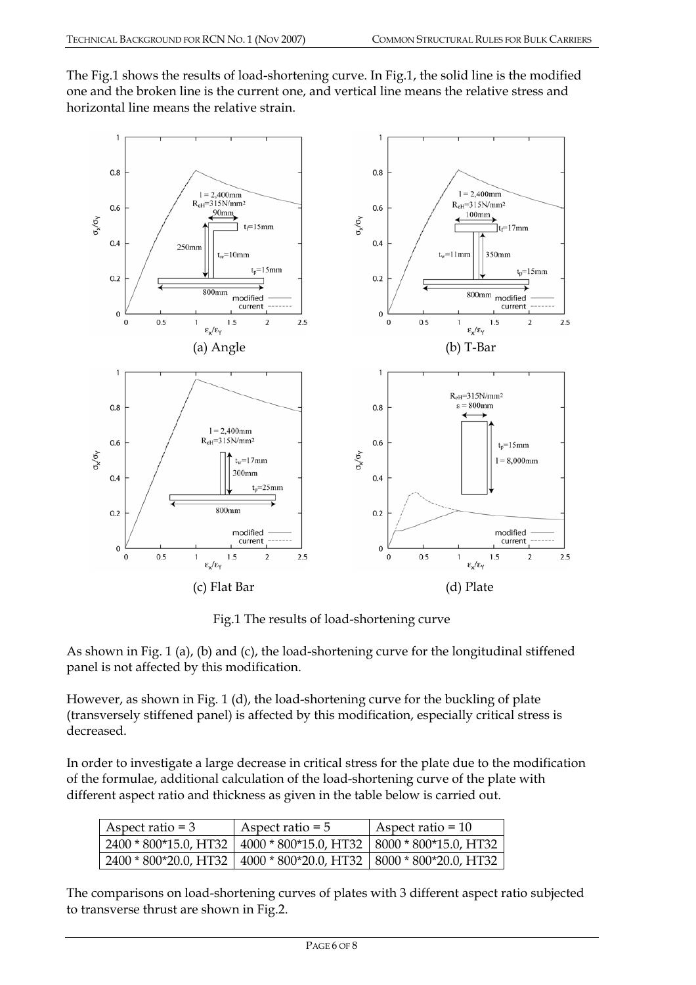The Fig.1 shows the results of load-shortening curve. In Fig.1, the solid line is the modified one and the broken line is the current one, and vertical line means the relative stress and horizontal line means the relative strain.



Fig.1 The results of load-shortening curve

As shown in Fig. 1 (a), (b) and (c), the load-shortening curve for the longitudinal stiffened panel is not affected by this modification.

However, as shown in Fig. 1 (d), the load-shortening curve for the buckling of plate (transversely stiffened panel) is affected by this modification, especially critical stress is decreased.

In order to investigate a large decrease in critical stress for the plate due to the modification of the formulae, additional calculation of the load-shortening curve of the plate with different aspect ratio and thickness as given in the table below is carried out.

| Aspect ratio $=$ 3 | Aspect ratio $= 5$                                                    | Aspect ratio = $10$ |
|--------------------|-----------------------------------------------------------------------|---------------------|
|                    | 2400 * 800*15.0, HT32   4000 * 800*15.0, HT32   8000 * 800*15.0, HT32 |                     |
|                    | 2400 * 800*20.0, HT32   4000 * 800*20.0, HT32   8000 * 800*20.0, HT32 |                     |

The comparisons on load-shortening curves of plates with 3 different aspect ratio subjected to transverse thrust are shown in Fig.2.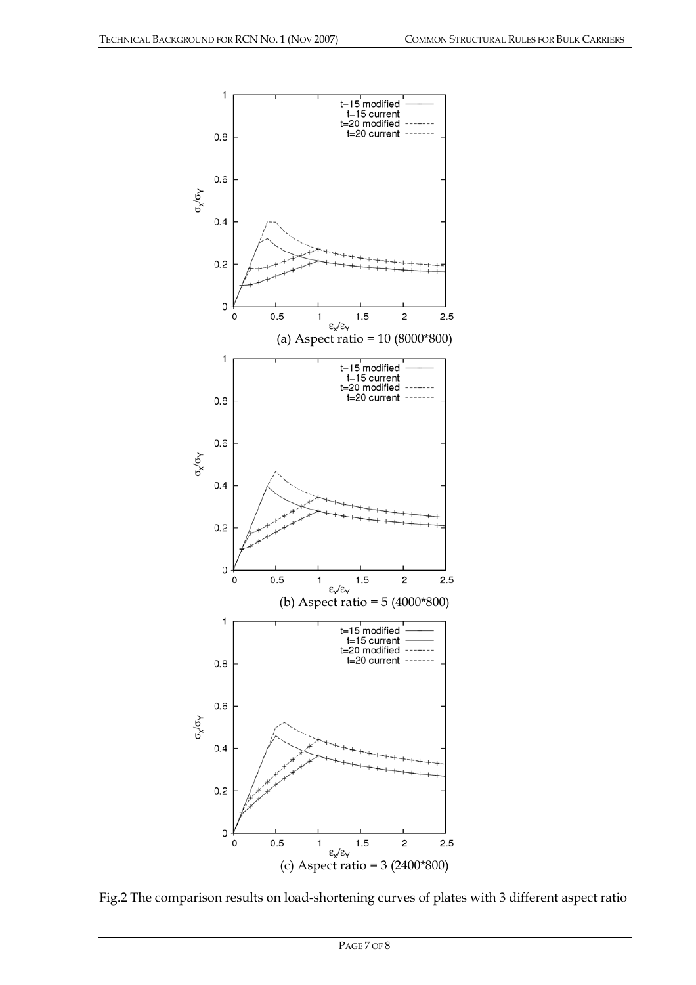



PAGE 7 OF 8